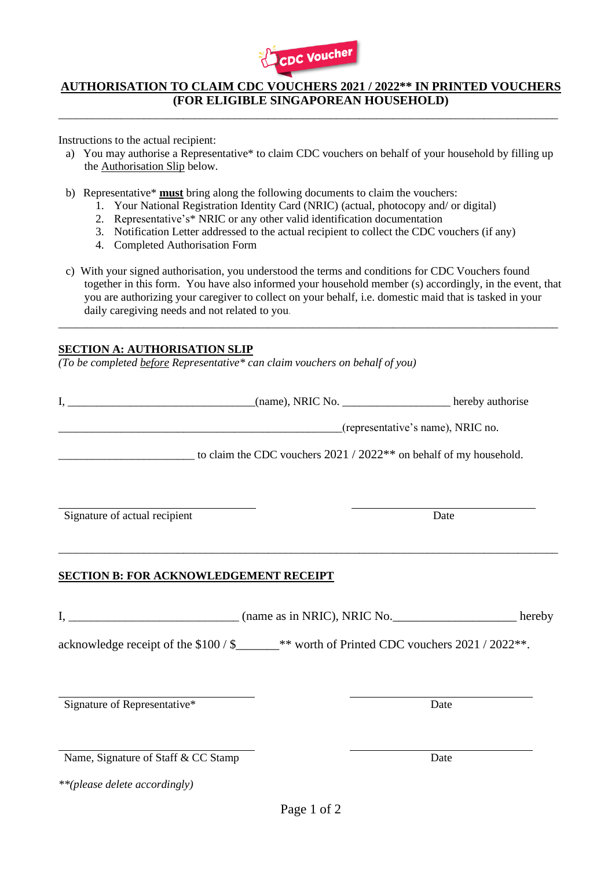

## **AUTHORISATION TO CLAIM CDC VOUCHERS 2021 / 2022\*\* IN PRINTED VOUCHERS (FOR ELIGIBLE SINGAPOREAN HOUSEHOLD)**

\_\_\_\_\_\_\_\_\_\_\_\_\_\_\_\_\_\_\_\_\_\_\_\_\_\_\_\_\_\_\_\_\_\_\_\_\_\_\_\_\_\_\_\_\_\_\_\_\_\_\_\_\_\_\_\_\_\_\_\_\_\_\_\_\_\_\_\_\_\_\_\_\_\_\_\_\_\_\_\_\_\_\_\_\_\_\_\_

Instructions to the actual recipient:

- a) You may authorise a Representative\* to claim CDC vouchers on behalf of your household by filling up the Authorisation Slip below.
- b) Representative\* **must** bring along the following documents to claim the vouchers:
	- 1. Your National Registration Identity Card (NRIC) (actual, photocopy and/ or digital)
	- 2. Representative's\* NRIC or any other valid identification documentation
	- 3. Notification Letter addressed to the actual recipient to collect the CDC vouchers (if any)
	- 4. Completed Authorisation Form
- c) With your signed authorisation, you understood the terms and conditions for CDC Vouchers found together in this form. You have also informed your household member (s) accordingly, in the event, that you are authorizing your caregiver to collect on your behalf, i.e. domestic maid that is tasked in your daily caregiving needs and not related to you.

\_\_\_\_\_\_\_\_\_\_\_\_\_\_\_\_\_\_\_\_\_\_\_\_\_\_\_\_\_\_\_\_\_\_\_\_\_\_\_\_\_\_\_\_\_\_\_\_\_\_\_\_\_\_\_\_\_\_\_\_\_\_\_\_\_\_\_\_\_\_\_\_\_\_\_\_\_\_\_\_\_\_\_\_\_\_\_\_

## **SECTION A: AUTHORISATION SLIP**

*(To be completed before Representative\* can claim vouchers on behalf of you)*

|                                                                                           |  | (representative's name), NRIC no. |
|-------------------------------------------------------------------------------------------|--|-----------------------------------|
| $\frac{1}{2022}$ to claim the CDC vouchers 2021 / 2022** on behalf of my household.       |  |                                   |
|                                                                                           |  |                                   |
| Signature of actual recipient                                                             |  | Date                              |
| <b>SECTION B: FOR ACKNOWLEDGEMENT RECEIPT</b>                                             |  |                                   |
|                                                                                           |  |                                   |
| acknowledge receipt of the \$100 / \$_____** worth of Printed CDC vouchers 2021 / 2022**. |  |                                   |
|                                                                                           |  |                                   |
| Signature of Representative*                                                              |  | Date                              |
|                                                                                           |  |                                   |
| Name, Signature of Staff & CC Stamp                                                       |  | Date                              |

*\*\*(please delete accordingly)*